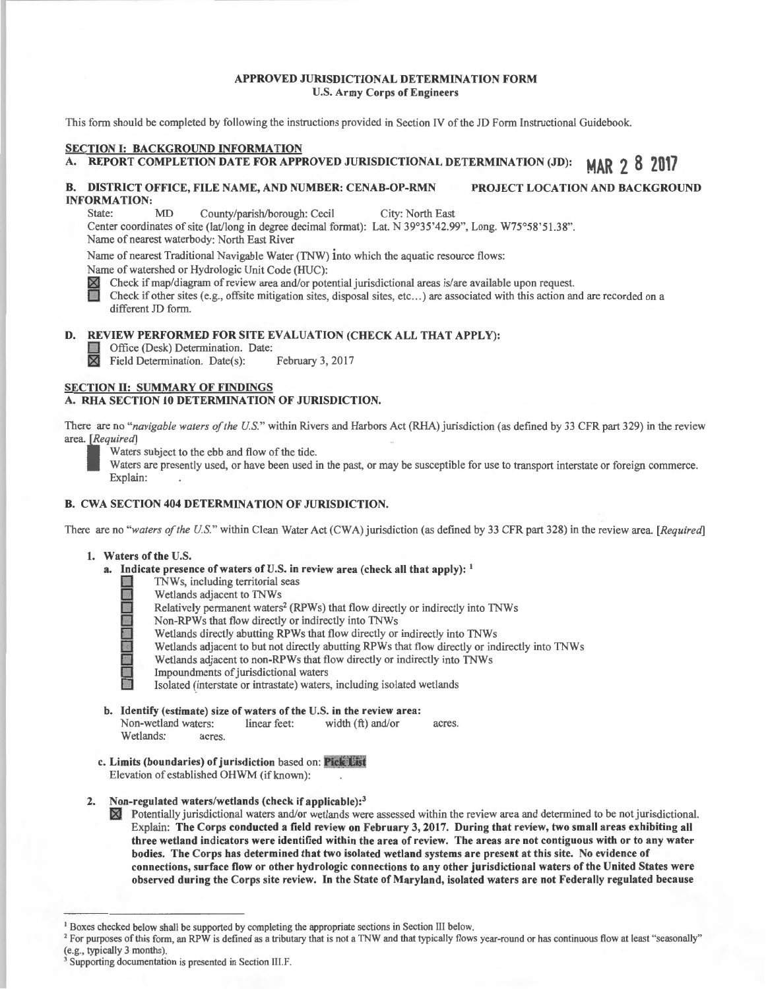#### APPROVED JURISDICTIONAL DETERMINATION FORM U.S. Army Corps of Engineers

This form should be completed by following the instructions provided in Section IV of the *JD* Form Instructional Guidebook.

## SECTION I: BACKGROUND INFORMATION

## A. REPORT COMPLETION DATE FOR APPROVED JURISDICTIONAL DETERMINATION (JD): MAR 2 8 2017

# B. DISTRICT OFFICE, FILE NAME, AND NUMBER: CENAB-OP-RMN PROJECT LOCATION AND BACKGROUND **INFORMATION:**<br>State: MD

County/parish/borough: Cecil City: North East

Center coordinates of site (lat/long in degree decimal format): Lat. N 39°35 '42.99'', Long. W75°58'5 l .38". Name of nearest waterbody: North East River

Name of nearest Traditional Navigable Water (TNW) into which the aquatic resource flows:

Name of watershed or Hydrologic Unit Code (HUC):

Check if map/diagram of review area and/or potential jurisdictional areas is/are available upon request.

Check if other sites (e.g., offsite mitigation sites, disposal sites, etc...) are associated with this action and are recorded on a different *ID* form.

#### D. REVIEW PERFORMED FOR SITE EVALUATION (CHECK ALL THAT APPLY):

Office (Desk) Determination. Date:<br>
M Field Determination. Date(s): February 3, 2017  $\boxtimes$  Field Determination. Date(s):

## SECTION II: SUMMARY OF FINDINGS A. RHA SECTION 10 DETERMINATION OF JURISDICTION.

There are no "navigable waters of the U.S." within Rivers and Harbors Act (RHA) jurisdiction (as defined by 33 CFR part 329) in the review area. *[Required]* 

Waters subject to the ebb and flow of the tide.

Waters are presently used, or have been used in the past, or may be susceptible for use to transport interstate or foreign commerce. Explain:

## B. CWA SECTION 404 DETERMlNATION OF JURISDICTION.

There are no "waters of the U.S." within Clean Water Act (CWA) jurisdiction (as defined by 33 CFR part 328) in the review area. [Required]

#### 1. Waters of the U.S.

- a. Indicate presence of waters of U.S. in review area (check all that apply):  $\frac{1}{2}$  TNWs, including territorial seas
	-
	- Wetlands adjacent to TNWs
	- TNWs, including territorial seas<br>Wetlands adjacent to TNWs<br>Relatively permanent waters<sup>2</sup> (R<br>Non-RPWs that flow directly or<br>Wetlands directly abutting RPW<br>Wetlands adjacent to but not directly Relatively permanent waters<sup>2</sup> (RPWs) that flow directly or indirectly into TNWs
		- Non-RPWs that flow directly or indirectly into TNWs
		- Wetlands directly abutting RPWs that flow directly or indirectly into TNWs
		- Wetlands adjacent to but not directly abutting RPWs that flow directly or indirectly into TNWs
		- Wetlands adjacent to non-RPWs that flow directly or indirectly into TNWs
		- Impoundments of jurisdictional waters

Isolated (interstate or intrastate) waters, including isolated wetlands

- b. Identify (estimate) size of waters of the U.S. in the review area:<br>Non-wetland waters: linear feet: width  $(ft)$  and/or Non-wetland waters: linear feet: width (ft) and/or acres. Wetlands: acres.
- c. Limits (boundaries) of jurisdiction based on: Pick List Elevation of established OHWM (if known):
- Non-regulated waters/wetlands (check if applicable):<sup>3</sup>

~ Potentially jurisdictional waters and/or wetlands were assessed within the review area and determined to be not jurisdictional. Explain: The Corps conducted a field review on February 3, 2017. During that review, two small areas exhibiting all three wetland indicators were identified within the area of review. The areas are not contiguous with or to any water bodies. The Corps has determined that two isolated wetland systems are present at this site. No evidence of connections, surface flow or other hydrologic connections to any other jurisdictional waters of the United States were observed during the Corps site review. In the State of Maryland, isolated waters are not Federally regulated because

<sup>&</sup>lt;sup>1</sup> Boxes checked below shall be supported by completing the appropriate sections in Section III below.<br><sup>2</sup> For purposes of this form, an RPW is defined as a tributary that is not a TNW and that typically flows year-round

Supporting documentation is presented in Section III.F.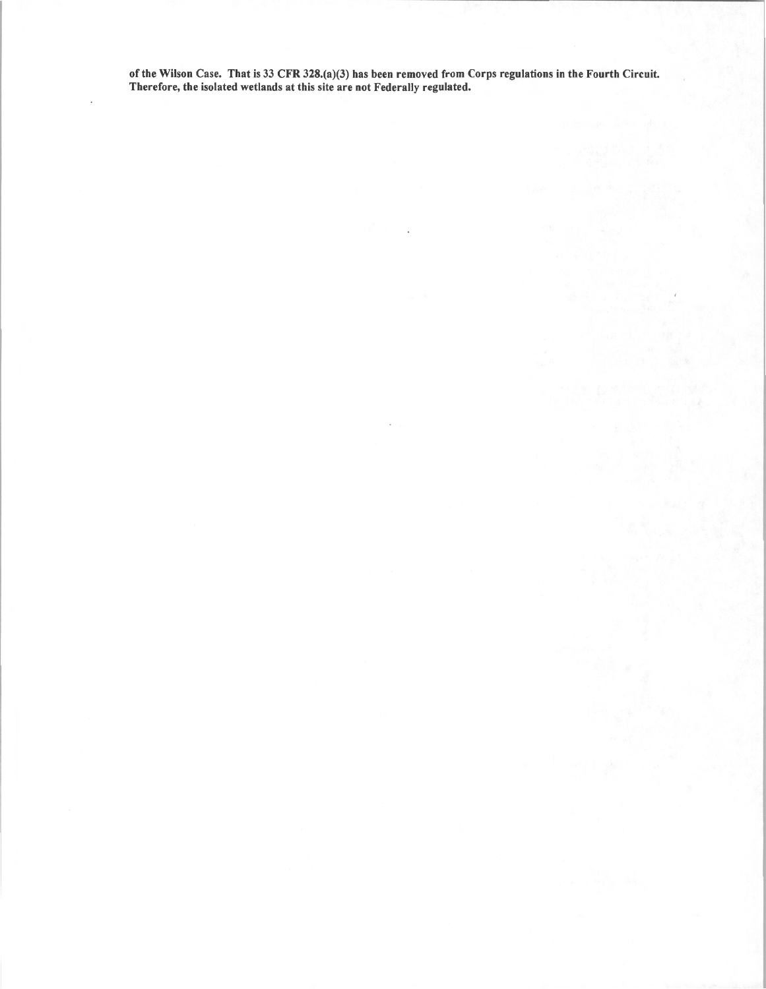of the Wilson Case. That is 33 CFR 328.(a)(3) has been removed from Corps regulations in the Fourth Circuit. Therefore, the isolated wetlands at this site are not Federally regulated.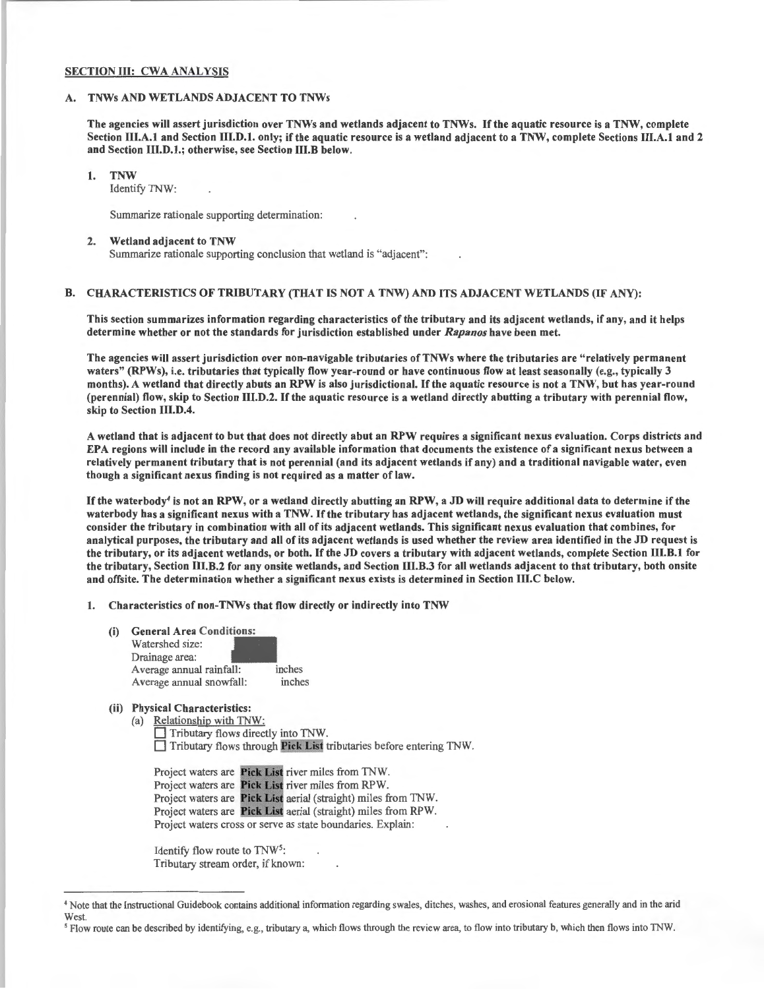## SECTION III: CWA ANALYSIS

#### A. TNWs AND WETLANDS ADJACENT TO TNWs

The agencies will assert jurisdiction over TNWs and wetlands adjacent to TNWs. If the aquatic resource is a TNW, complete Section III.A.1 and Section III.D.1. only; if the aquatic resource is a wetland adjacent to a TNW, complete Sections III.A.1 and 2 and Section III.D.l.; otherwise, see Section 111.B below.

I. TNW

Identify TNW:

Summarize rationale supporting determination:

#### 2. Wetland adjacent to TNW

Summarize rationale supporting conclusion that wetland is "adjacent":

#### B. CHARACTERISTICS OF TRIBUTARY (THAT IS NOT A TNW) AND ITS ADJACENT WETLANDS (IF ANY):

This section summarizes information regarding characteristics of the tributary and its adjacent wetlands, if any, and it helps determine whether or not the standards for jurisdiction established under *Rapanos* have been met.

The agencies will assert jurisdiction over non-navigable tributaries of TNWs where the tributaries are "relatively permanent waters" (RPWs), i.e. tributaries that typically flow year-round or have continuous flow at least seasonally (e.g., typically 3 months). A wetland that directly abuts an RPW is also jurisdictional. If the aquatic resource is not a TNW, but has year-round (perennial) flow, skip to Section 111.D.2. If the aquatic resource is a wetland directly abutting a tributary with perennial flow, skip to Section 111.D.4.

A wetland that is adjacent to but that does not directly abut an RPW requires a significant nexus evaluation. Corps districts and EPA regions will include in the record any available information that documents the existence of a significant nexus between a relatively permanent tributary that is not perennial (and its adjacent wetlands if any) and a traditional navigable water, even though a significant nexus finding is not required as a matter of law.

If the waterbody<sup>4</sup> is not an RPW, or a wetland directly abutting an RPW, a JD will require additional data to determine if the waterbody has a significant nexus with a TNW. If the tributary has adjacent wetlands, the significant nexus evaluation must consider the tributary in combination with all of its adjacent wetlands. This significant nexus evaluation that combines, for analytical purposes, the tributary and all of its adjacent wetlands is used whether the review area identified in the JD request is the tributary, or its adjacent wetlands, or both. If the JD covers a tributary with adjacent wetlands, complete Section III.B.1 for the tributary, Section IU.B.2 for any onsite wetlands, and Section 111.B.3 for all wetlands adjacent to that tributary, both onsite and offsite. The determination whether a significant nexus exists is determined in Section 111.C below.

1. Characteristics of non-TNWs that flow directly or indirectly into TNW

(i) General Area Conditions:

| Watershed size:          |        |  |  |  |
|--------------------------|--------|--|--|--|
| Drainage area:           |        |  |  |  |
| Average annual rainfall: | inches |  |  |  |
| Average annual snowfall: | inches |  |  |  |

### (ii) Physical Characteristics:

(a) Relationship with TNW: D Tributary flows directly into TNW.  $\Box$  Tributary flows through Pick List tributaries before entering TNW.

Project waters are Pick List river miles from TNW. Project waters are Pick List river miles from RPW. Project waters are Pick List aerial (straight) miles from TNW. Project waters are Pick List aerial (straight) miles from RPW. Project waters cross or serve as state boundaries. Explain:

Identify flow route to TNW<sup>5</sup>: Tributary stream order, if known:

<sup>•</sup>Note that the Instructional Guidebook contains additional information regarding swales, ditches, washes, and erosional features generally and in the arid West

<sup>&</sup>lt;sup>5</sup> Flow route can be described by identifying, e.g., tributary a, which flows through the review area, to flow into tributary b, which then flows into TNW.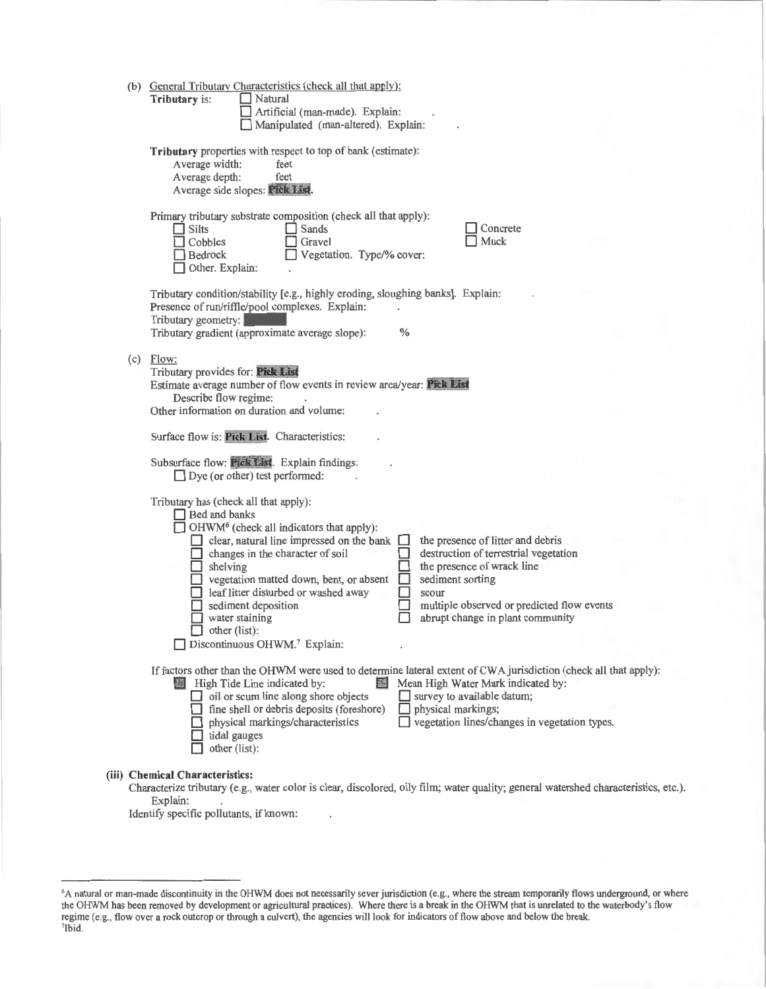|  | (b) General Tributary Characteristics (check all that apply):<br>Tributary is:<br>Natural<br>Artificial (man-made). Explain:<br>Manipulated (man-altered). Explain:                                                                                                                                                                                                                                                                                                                                                                                                                            |  |  |  |  |
|--|------------------------------------------------------------------------------------------------------------------------------------------------------------------------------------------------------------------------------------------------------------------------------------------------------------------------------------------------------------------------------------------------------------------------------------------------------------------------------------------------------------------------------------------------------------------------------------------------|--|--|--|--|
|  | Tributary properties with respect to top of bank (estimate):<br>Average width:<br>feet<br>Average depth:<br>feet<br>Average side slopes: Pick List.                                                                                                                                                                                                                                                                                                                                                                                                                                            |  |  |  |  |
|  | Primary tributary substrate composition (check all that apply):<br>Concrete<br>$\Box$ Silts<br>Sands<br>Muck<br>Cobbles<br>Gravel<br>Vegetation. Type/% cover:<br><b>Bedrock</b><br>Other. Explain:                                                                                                                                                                                                                                                                                                                                                                                            |  |  |  |  |
|  | Tributary condition/stability [e.g., highly eroding, sloughing banks]. Explain:<br>Presence of run/riffle/pool complexes. Explain:<br>Tributary geometry:<br>Tributary gradient (approximate average slope):<br>$\%$                                                                                                                                                                                                                                                                                                                                                                           |  |  |  |  |
|  | $(c)$ Flow:<br>Tributary provides for: Pick List<br>Estimate average number of flow events in review area/year: Pick List<br>Describe flow regime:<br>Other information on duration and volume:                                                                                                                                                                                                                                                                                                                                                                                                |  |  |  |  |
|  | Surface flow is: Pick List. Characteristics:                                                                                                                                                                                                                                                                                                                                                                                                                                                                                                                                                   |  |  |  |  |
|  | Subsurface flow: Pick List. Explain findings:<br>$\Box$ Dye (or other) test performed:                                                                                                                                                                                                                                                                                                                                                                                                                                                                                                         |  |  |  |  |
|  | Tributary has (check all that apply):<br>Bed and banks<br>$\Box$ OHWM <sup>6</sup> (check all indicators that apply):<br>the presence of litter and debris<br>$\Box$ clear, natural line impressed on the bank<br>destruction of terrestrial vegetation<br>$\Box$ changes in the character of soil<br>the presence of wrack line<br>$\Box$ shelving<br>sediment sorting<br>vegetation matted down, bent, or absent<br>leaf litter disturbed or washed away<br>scour<br>multiple observed or predicted flow events<br>sediment deposition<br>abrupt change in plant community<br>water staining |  |  |  |  |
|  | other (list):<br>Discontinuous OHWM. <sup>7</sup> Explain:                                                                                                                                                                                                                                                                                                                                                                                                                                                                                                                                     |  |  |  |  |
|  | If factors other than the OHWM were used to determine lateral extent of CWA jurisdiction (check all that apply):<br>Mean High Water Mark indicated by:<br>High Tide Line indicated by:<br>$\Box$ oil or scum line along shore objects<br>survey to available datum;<br>fine shell or debris deposits (foreshore)<br>physical markings;<br>vegetation lines/changes in vegetation types.<br>physical markings/characteristics<br>tidal gauges<br>other (list):                                                                                                                                  |  |  |  |  |
|  | (iii) Chemical Characteristics:<br>Characterize tributary (e.g., water color is clear, discolored, oily film; water quality; general watershed characteristics, etc.).                                                                                                                                                                                                                                                                                                                                                                                                                         |  |  |  |  |

Explain:

Identify specific pollutants, if known:

<sup>&</sup>lt;sup>6</sup>A natural or man-made discontinuity in the OHWM does not necessarily sever jurisdiction (e.g., where the stream temporarily flows underground, or where the OHWM has been removed by development or agricultural practices). Where there is a break in the OHWM that is unrelated to the waterbody's flow regime (e.g., flow over a rock outcrop or through a culvert), the agencies will look for indicators of flow above and below the break. 7 lbid.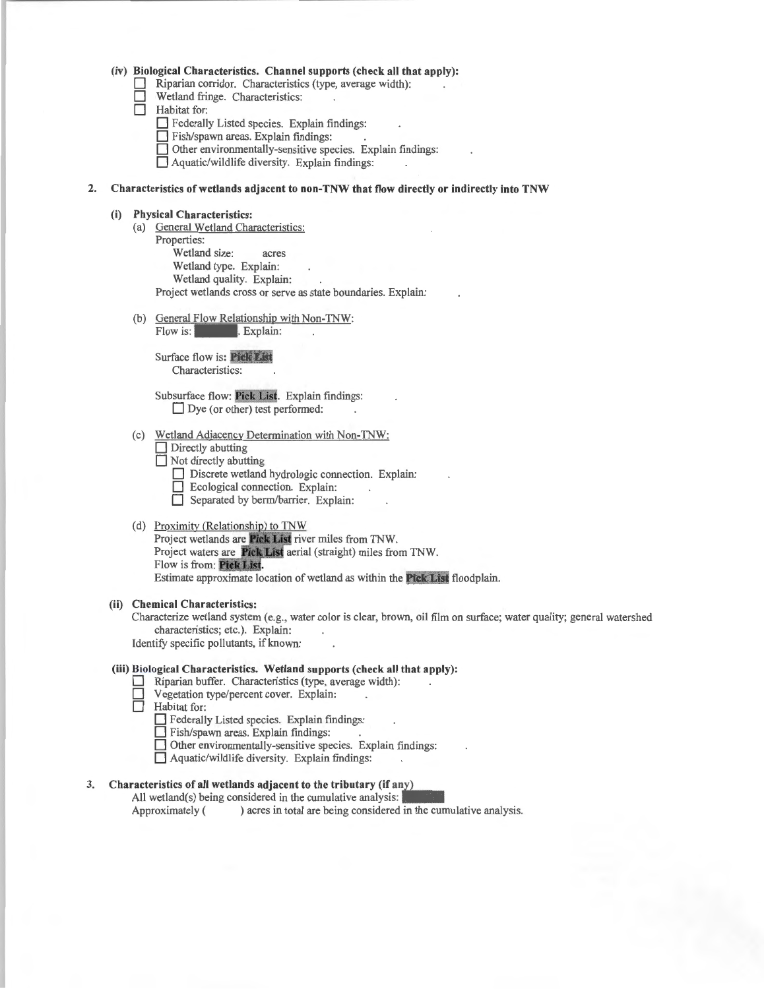|  |  |  | (iv) Biological Characteristics. Channel supports (check all that apply): |  |  |
|--|--|--|---------------------------------------------------------------------------|--|--|
|--|--|--|---------------------------------------------------------------------------|--|--|

- Riparian corridor. Characteristics (type, average width):
- Wetland fringe. Characteristics:
- **Habitat** for:
	- **D** Federally Listed species. Explain findings:
	- **D** Fish/spawn areas. Explain findings:
	- **D** Other environmentally-sensitive species. Explain findings:
	- **D** Aquatic/wildlife diversity. Explain findings:

#### **2. Characteristics of wetlands adjacent to non-TNW that flow directly or indirectly into TNW**

#### **(i) Physical Characteristics:**

- (a) General Wetland Characteristics:
	- Properties:
		- Wetland size: acres
		- Wetland type. Explain:
		- Wetland quality. Explain:

Project wetlands cross or serve as state boundaries. Explain:

(b) General Flow Relationship with Non-TNW:

Flow is: *Explain:* 

Surface flow is: **Pick List** Characteristics:

Subsurface flow: Pick List. Explain findings: D ve (or other) test performed:

- (c) Wetland Adjacency Determination with Non-TNW:
	- **Directly** abutting
	- $\Box$  Not directly abutting
		- Discrete wetland hydrologic connection. Explain:
		- **D** Ecological connection. Explain:
		- **D** Separated by berm/barrier. Explain:

#### (d) Proximity (Relationship) to TNW

Project wetlands are Pick List river miles from TNW. Project waters are Pick List aerial (straight) miles from TNW. Flow is from: Pick List. Estimate approximate location of wetland as within the **Pick List** floodplain.

#### **(ii) Chemical Characteristics:**

Characterize wetland system (e.g., water color is clear, brown, oil film on surface; water quality; general watershed characteristics; etc.). Explain:

Identify specific pollutants, if known:

#### **(iii) Biological Characteristics. Wetland supports (check all that apply):**

- **D** Riparian buffer. Characteristics (type, average width):
- Vegetation type/percent cover. Explain:
- **Habitat** for:

D Federally Listed species. Explain findings:

- **D** Fish/spawn areas. Explain findings:
- **D** Other environmentally-sensitive species. Explain findings:
- $\Box$  Aquatic/wildlife diversity. Explain findings:

## 3. Characteristics of all wetlands adjacent to the tributary (if any)

All wetland(s) being considered in the cumulative analysis: Approximately ( ) acres in total are being considered in the cumulative analysis.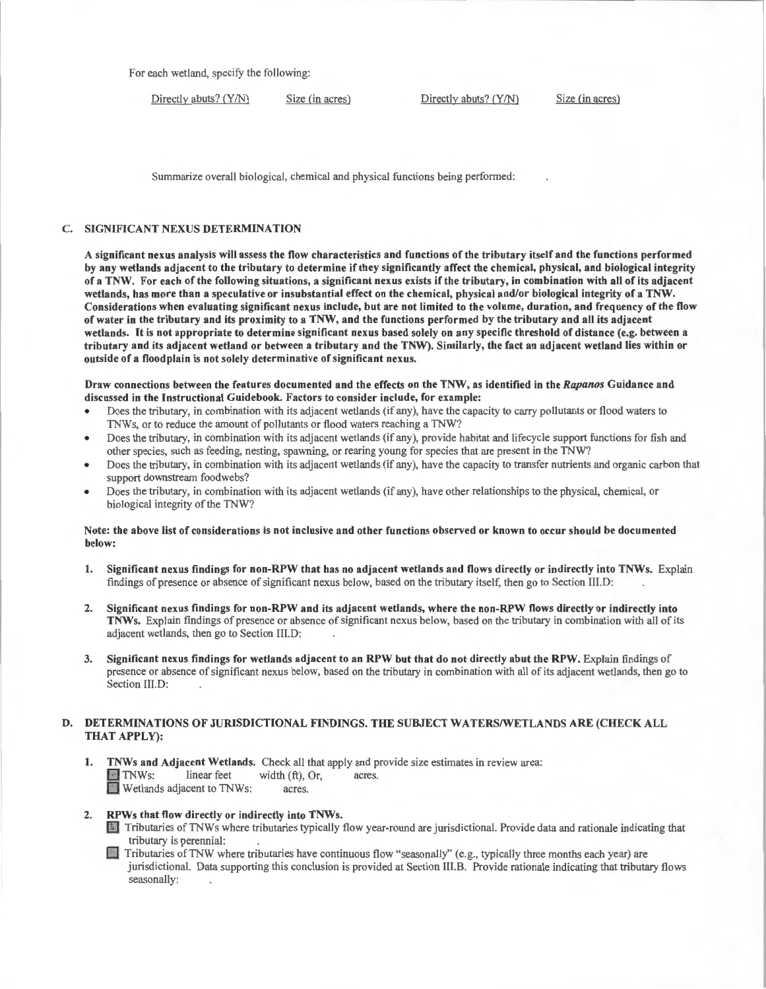For each wetland, specify the following:

Directly abuts? (Y/N) Size (in acres) Directly abuts? (Y/N) Size (in acres)

Summarize overall biological, chemical and physical functions being performed :

#### C. SIGNIFICANT NEXUS DETERMINATION

A significant nexus analysis will assess the flow characteristics and functions of the tributary itself and the functions performed by any wetlands adjacent to the tributary to determine if they significantly affect the chemical, physical, and biological integrity ofa TNW. For each of the following situations, a significant nexus exists ifthe tributary, in combination with all of its adjacent wetlands, has more than a speculative or insubstantial effect on the chemical, physical and/or biological integrity of a TNW. Considerations when evaluating significant nexus include, but are not limited to the volume, duration, and frequency of the flow of water in the tributary and its proximity to a TNW, and the functions performed by the tributary and all its adjacent wetlands. It is not appropriate to determine significant nexus based solely on any specific threshold of distance (e.g. between a tributary and its adjacent wetland or between a tributary and the TNW). Similarly, the fact an adjacent wetland lies within or outside of a floodplain is not solely determinative of significant nexus.

#### Draw connections between the features documented and the effects on the TNW, as identified in the *Rapanos* Guidance and discussed in the Instructional Guidebook. Factors to consider include, for example:

- Does the tributary, in combination with its adjacent wetlands (if any), have the capacity to carry pollutants or flood waters to TNWs, or to reduce the amount of pollutants or flood waters reaching a TNW?
- Does the tributary, in combination with its adjacent wetlands (if any), provide habitat and lifecycle support functions for fish and other species, such as feeding, nesting, spawning, or rearing young for species that are present in the TNW?
- Does the tributary, in combination with its adjacent wetlands (if any), have the capacity to transfer nutrients and organic carbon that support downstream foodwebs?
- Does the tributary, in combination with its adjacent wetlands (if any), have other relationships to the physical, chemical, or biological integrity of the TNW?

#### Note: the above list of considerations is not inclusive and other functions observed or known to occur should be documented below:

- 1. Significant nexus findings for non-RPW that has no adjacent wetlands and flows directly or indirectly into TNWs. Explain findings of presence or absence of significant nexus below, based on the tributary itself, then go to Section Ill.D:
- 2. Significant nexus findings for non-RPW and its adjacent wetlands, where the non-RPW flows directly or indirectly into TNWs. Explain findings of presence or absence of significant nexus below, based on the tributary in combination with all of its adjacent wetlands, then go to Section lll.D:
- 3. Significant nexus findings for wetlands adjacent to an RPW but that do not directly abut the RPW. Explain findings of presence or absence of significant nexus below, based on the tributary in combination with all of its adjacent wetlands, then go to Section III.D:

#### D. DETERMINATIONS OF JURISDICTIONAL FINDINGS. THE SUBJECT WATERS/WETLANDS ARE (CHECK ALL THAT APPLY):

1. **TNWs and Adjacent Wetlands.** Check all that apply and provide size estimates in review area:<br> $\blacksquare$  TNWs: linear feet width (ft), Or, acres. **EXECUTE:** TNWs: linear feet width (ft), Or, acres.<br>
Wetlands adjacent to TNWs: acres.

#### 2. RPWs that flow directly or indirectly into TNWs.

- D Tributaries ofTNWs where tributaries typically flow year-round are jurisdictional. Provide data and rationale indicating that tributary is perennial: .
- **Exercise** Tributaries of TNW where tributaries have continuous flow "seasonally" (e.g., typically three months each year) are jurisdictional. Data supporting this conclusion is provided at Section III.B. Provide rationale indicating that tributary flows seasonally: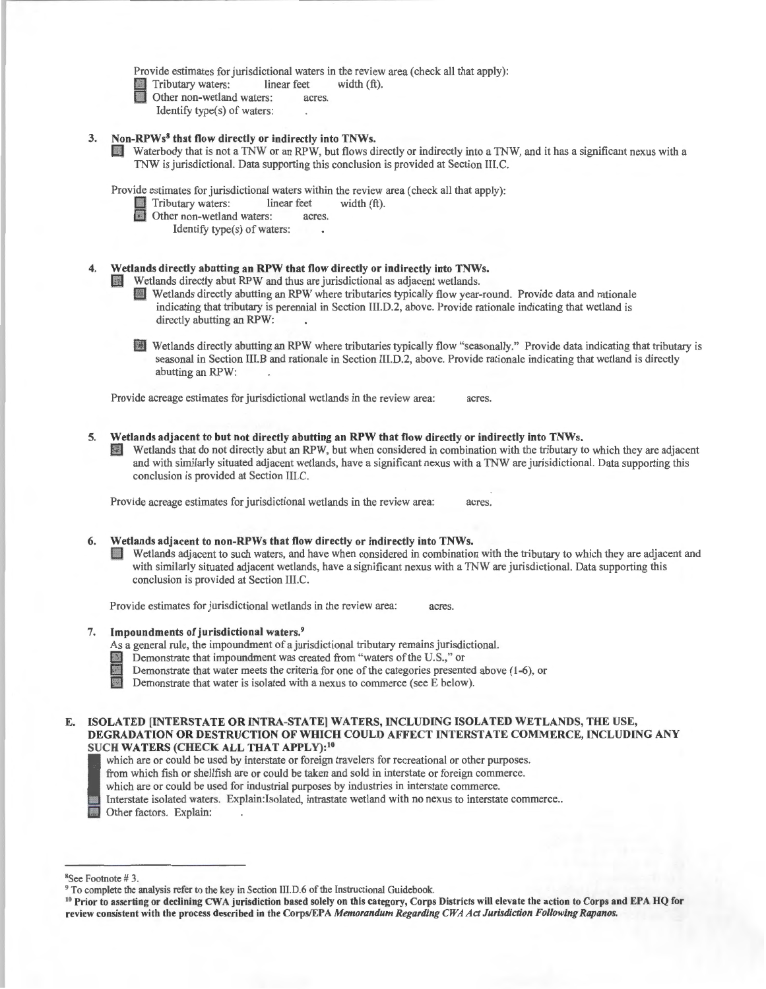Provide estimates for jurisdictional waters in the review area (check all that apply):<br>
Tributary waters: linear feet width  $(ft)$ .

Fributary waters: linear feet width (ft).<br>
Other non-wetland waters: acres.<br>
Identify trac(c) of waters:

- - Identify type(s) of waters:

## 3. Non-RPWs<sup>8</sup> that flow directly or indirectly into TNWs.

Waterbody that is not a TNW or an RPW, but flows directly or indirectly into a TNW, and it has a significant nexus with a TNW is jurisdictional. Data supporting this conclusion is provided at Section III.C.

Provide estimates for jurisdictional waters within the review area (check all that apply):<br>
Tributary waters: linear feet width (ft).

Tributary waters: linear feet width (ft).<br>
Other non-wetland waters: acres.<br>
Identify type(s) of waters.

- - Identify type(s) of waters:

# Wetlands directly abutting an RPW that flow directly or indirectly into TNWs.<br>Wetlands directly abut RPW and thus are jurisdictional as adjacent wetlands.

- 
- Wetlands directly abutting an RPW where tributaries typically flow year-round. Provide data and rationale indicating that tributary is perennial in Section III.D.2, above. Provide rationale indicating that wetland is directly abutting an RPW:
- D Wetlands directly abutting an RPW where tributaries typically flow " seasonally." Provide data indicating that tributary is seasonal in Section III.B and rationale in Section lll.D.2, above. Provide rationale indicating that wetland is directly abutting an RPW:

Provide acreage estimates for jurisdictional wetlands in the review area: acres.

- 5. Wetlands adjacent to but not directly abutting an RPW that flow directly or indirectly into TNWs.
	- D Wetlands that do not directly abut an RPW, but when considered in combination with the tributary to which they are adjacent and with similarly situated adjacent wetlands, have a significant nexus with a TNW are jurisidictional. Data supporting this conclusion is provided at Section III.C.

Provide acreage estimates for jurisdictional wetlands in the review area: acres.

#### 6. Wetlands adjacent to non-RPWs that flow directly or indirectly into TNWs.

Wetlands adjacent to such waters, and have when considered in combination with the tributary to which they are adjacent and with similarly situated adjacent wetlands, have a significant nexus with a TNW are jurisdictional. Data supporting this conclusion is provided at Section Ill.C.

Provide estimates for jurisdictional wetlands in the review area: acres.

## 7. Impoundments of jurisdictional waters.<sup>9</sup>

As a general rule, the impoundment of a jurisdictional tributary remains jurisdictional.

- § Demonstrate that impoundment was created from "waters of the U.S.," or
- Demonstrate that water meets the criteria for one of the categories presented above ( 1-6), or
- Demonstrate that water is isolated with a nexus to commerce (see E below).

## E. ISOLATED [INTERSTATE OR INTRA-STATE] WATERS, INCLUDING ISOLATED WETLANDS, THE USE, DEGRADATION OR DESTRUCTION OF WHICH COULD AFFECT lNTERSTA TE COMMERCE, lNCLUDING ANY SUCH WATERS (CHECK ALL THAT APPLY):<sup>10</sup><br>which are or could be used by interstate or foreign travelers for recreational or other purposes.

- 
- from which fish or shellfish are or could be taken and sold in interstate or foreign commerce.
- which are or could be used for industrial purposes by industries in interstate commerce.

which are or could be used by interstate or foreign travelers for recreational or other purposes.<br>
from which fish or shellfish are or could be taken and sold in interstate or foreign commerce.<br>
which are or could be used Interstate isolated waters. Explain:Isolated, intrastate wetland with no nexus to interstate commerce ..

Other factors. Explain:

 $8$ See Footnote #3.

<sup>&</sup>lt;sup>9</sup> To complete the analysis refer to the key in Section III.D.6 of the Instructional Guidebook.<br><sup>10</sup> Prior to asserting or declining CWA jurisdiction based solely on this category, Corps Districts will elevate the action review consistent with the process described in the Corps/EPA *Memorandum Regarding CWA Act Jurisdiction Following Rapanos.*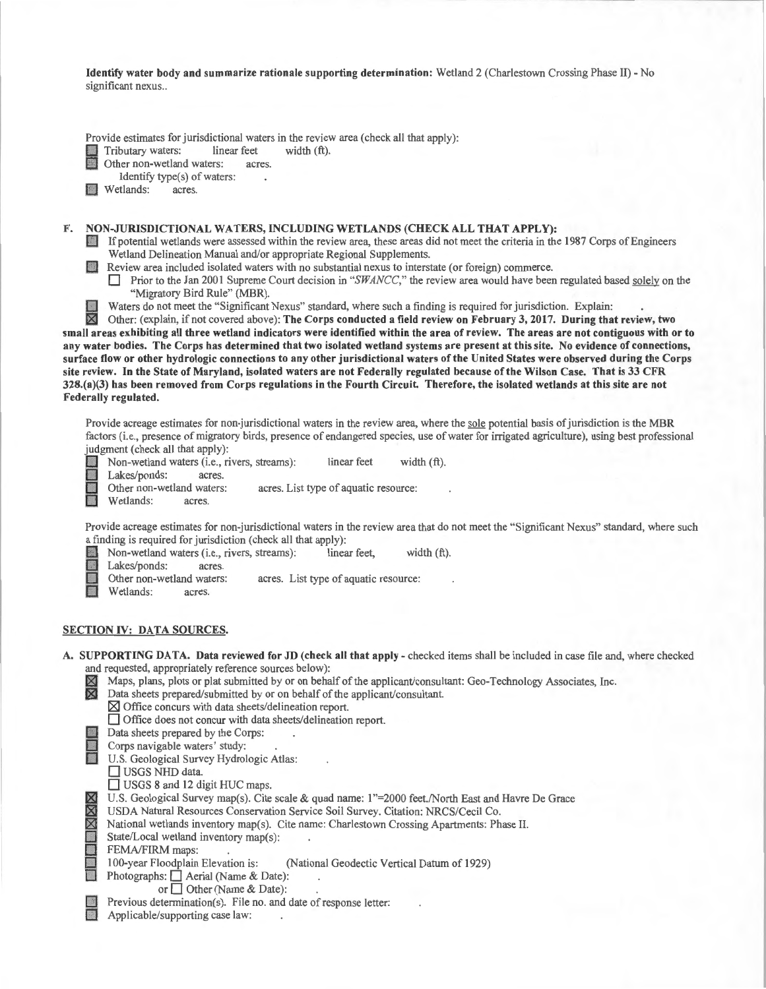Identify water body and summarize rationale supporting determination: Wetland 2 (Charlestown Crossing Phase II) - No significant nexus..

Provide estimates for jurisdictional waters in the review area (check all that apply):<br>
Tributary waters: linear feet width (ft).

Tributary waters: linear feet<br>
Other non-wetland waters: acre

Other non-wetland waters: acres.

Identify type(s) of waters:

**D** Wetlands: acres.

F. NON-JURISDICTIONAL WATERS, INCLUDING WETLANDS (CHECK ALL THAT APPLY):

0 If potential wetlands were assessed within the review area, these areas did not meet the criteria in the 1987 Corps of Engineers Wetland Delineation Manual and/or appropriate Regional Supplements.

D Review area included isolated waters with no substantial nexus to interstate (or foreign) commerce.

**Drivide** Prior to the Jan 2001 Supreme Court decision in "*SWANCC*," the review area would have been regulated based solely on the "Migratory Bird Rule" (MBR).

Waters do not meet the "Significant Nexus" standard, where such a finding is required for jurisdiction. Explain:  $\overline{\mathbb{X}}$  Other: (explain, if not covered above): The Corps conducted a field review on February 3, 2017.

Other: (explain, if not covered above): The Corps conducted a field review on February 3, 2017. During that review, two small areas exhibiting all three wetland indicators were identified within the area of review. The areas are not contiguous with or to any water bodies. The Corps has determined that two isolated wetland systems are present at this site. No evidence of connections, surface flow or other hydrologic connections to any other jurisdictional waters of the United States were observed during the Corps site review. In the State of Maryland, isolated waters are not Federally regulated because of the Wilson Case. That is 33 CFR 328.(a)(3) has been removed from Corps regulations in the Fourth Circuit. Therefore, the isolated wetlands at this site are not Federally regulated.

Provide acreage estimates for non-jurisdictional waters in the review area, where the sole potential basis of jurisdiction is the MBR factors (i.e., presence of migratory birds, presence of endangered species, use of water for irrigated agriculture), using best professional

judgment (check all that apply):<br>
Non-wetland waters (i.e., right)<br>
Lakes/ponds: acres.<br>
Other non-wetland waters: linear feet width (ft). Non-wetland waters (i.e., rivers, streams):<br>
Lakes/ponds: acres.<br>
Other non-wetland waters: acres. Li<br>
Wetlands: acres.

acres. List type of aquatic resource:

Wetlands:

Provide acreage estimates for non-jurisdictional waters in the review area that do not meet the "Significant Nexus" standard, where such a finding is required for jurisdiction (check all that apply):

Non-wetland waters (i.e., rivers, streams): linear feet, width (ft).

Lakes/ponds: acres.<br>Other non-wetland waters: nd waters: acres. List type of aquatic resource: acres.

Wetlands:

#### SECTION IV: DATA SOURCES.

A. SUPPORTING DATA. Data reviewed for JD (check all that apply - checked items shall be included in case file and, where checked and requested, appropriately reference sources below):<br>  $\boxtimes$  Maps, plans, plots or plat submitted by or on behalf of<br>  $\boxtimes$  Data sheets prepared/submitted by or on behalf of

- .181 Maps, plans, plots or plat submitted by or on behalf of the applicant/consultant: Geo-Technology Associates, Inc.
- Data sheets prepared/submitted by or on behalf of the applicant/consultant.
- $\times$  Office concurs with data sheets/delineation report.
- 0 Office does not concur with data sheets/delineation report.
- Data sheets prepared by the Corps:
- Corps navigable waters' study:

**Example 3.5 Survey Hydrologic Atlas:**<br>
U.S. Geological Survey Hydrologic Atlas:<br>
UISGS NHD data.

- USGS NHD data.
- USGS 8 and 12 digit HUC maps.
- U.S. Geological Survey map(s). Cite scale & quad name: 1"=2000 feet./North East and Havre De Grace
- USDA Natural Resources Conservation Service Soil Survey. Citation: NRCS/Cecil Co.

National wetlands inventory map(s). Cite name: Charlestown Crossing Apartments: Phase II.

State/Local wetland inventory map(s):

Photographs:  $\Box$  Aerial (Name & Date):

or  $\Box$  Other (Name & Date):

Previous determination(s). File no. and date of response letter:

Applicable/supporting case law:

FEMA/FIRM maps:<br>100-year Floodplain Elevation is: (National Geodectic Vertical Datum of 1929)